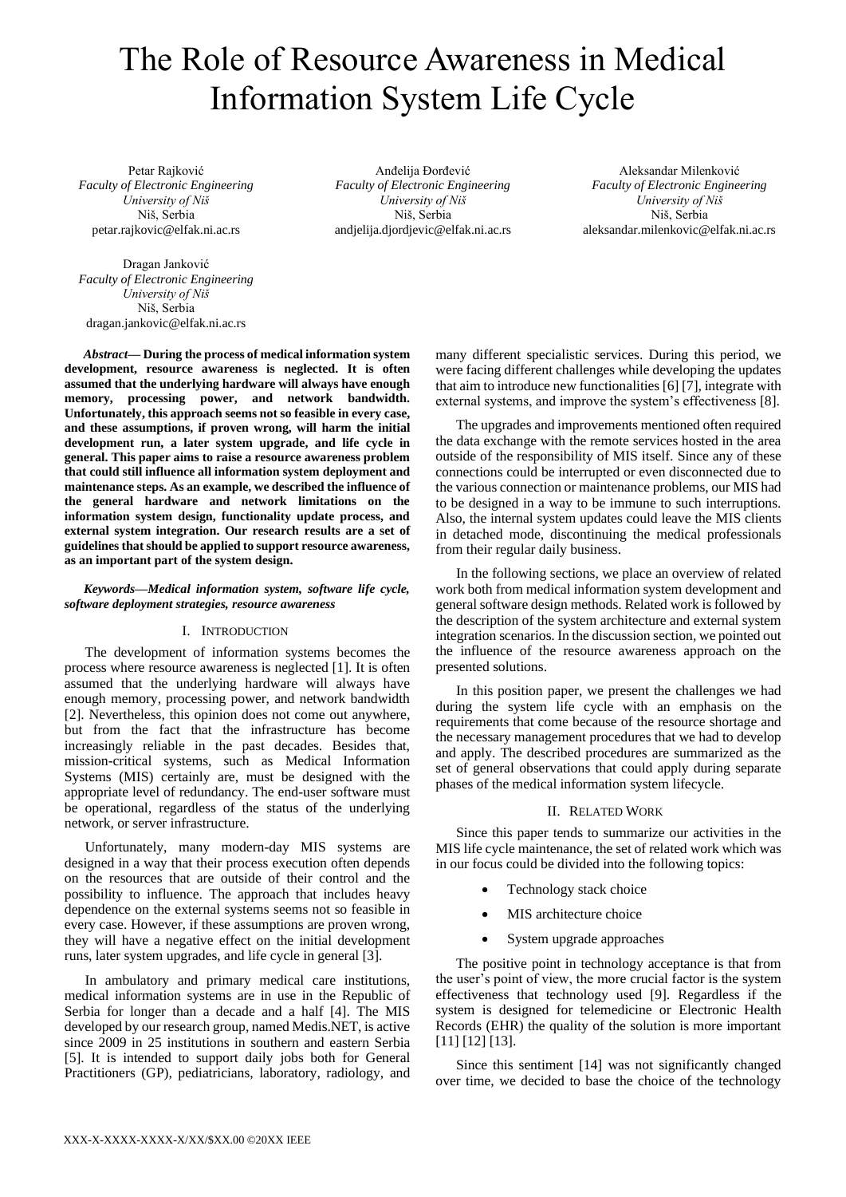# The Role of Resource Awareness in Medical Information System Life Cycle

Petar Rajković *Faculty of Electronic Engineering University of Niš* Niš, Serbia petar.rajkovic@elfak.ni.ac.rs

Dragan Janković *Faculty of Electronic Engineering University of Niš* Niš, Serbia dragan.jankovic@elfak.ni.ac.rs

*Abstract***— During the process of medical information system development, resource awareness is neglected. It is often assumed that the underlying hardware will always have enough memory, processing power, and network bandwidth. Unfortunately, this approach seems not so feasible in every case, and these assumptions, if proven wrong, will harm the initial development run, a later system upgrade, and life cycle in general. This paper aims to raise a resource awareness problem that could still influence all information system deployment and maintenance steps. As an example, we described the influence of the general hardware and network limitations on the information system design, functionality update process, and** 

**guidelines that should be applied to support resource awareness, as an important part of the system design.**  *Keywords—Medical information system, software life cycle,* 

**external system integration. Our research results are a set of** 

# *software deployment strategies, resource awareness*

# I. INTRODUCTION

The development of information systems becomes the process where resource awareness is neglected [\[1\].](#page-6-0) It is often assumed that the underlying hardware will always have enough memory, processing power, and network bandwidth [\[2\].](#page-6-1) Nevertheless, this opinion does not come out anywhere, but from the fact that the infrastructure has become increasingly reliable in the past decades. Besides that, mission-critical systems, such as Medical Information Systems (MIS) certainly are, must be designed with the appropriate level of redundancy. The end-user software must be operational, regardless of the status of the underlying network, or server infrastructure.

Unfortunately, many modern-day MIS systems are designed in a way that their process execution often depends on the resources that are outside of their control and the possibility to influence. The approach that includes heavy dependence on the external systems seems not so feasible in every case. However, if these assumptions are proven wrong, they will have a negative effect on the initial development runs, later system upgrades, and life cycle in general [\[3\].](#page-6-2)

In ambulatory and primary medical care institutions, medical information systems are in use in the Republic of Serbia for longer than a decade and a half [\[4\].](#page-7-0) The MIS developed by our research group, named Medis.NET, is active since 2009 in 25 institutions in southern and eastern Serbia [\[5\].](#page-7-1) It is intended to support daily jobs both for General Practitioners (GP), pediatricians, laboratory, radiology, and

Anđelija Đorđević *Faculty of Electronic Engineering University of Niš* Niš, Serbia andjelija.djordjevic@elfak.ni.ac.rs

Aleksandar Milenković *Faculty of Electronic Engineering University of Niš* Niš, Serbia aleksandar.milenkovic@elfak.ni.ac.rs

many different specialistic services. During this period, we were facing different challenges while developing the updates that aim to introduce new functionalities [\[6\]](#page-7-2) [\[7\],](#page-7-3) integrate with external systems, and improve the system's effectiveness [\[8\].](#page-7-4)

The upgrades and improvements mentioned often required the data exchange with the remote services hosted in the area outside of the responsibility of MIS itself. Since any of these connections could be interrupted or even disconnected due to the various connection or maintenance problems, our MIS had to be designed in a way to be immune to such interruptions. Also, the internal system updates could leave the MIS clients in detached mode, discontinuing the medical professionals from their regular daily business.

In the following sections, we place an overview of related work both from medical information system development and general software design methods. Related work is followed by the description of the system architecture and external system integration scenarios. In the discussion section, we pointed out the influence of the resource awareness approach on the presented solutions.

In this position paper, we present the challenges we had during the system life cycle with an emphasis on the requirements that come because of the resource shortage and the necessary management procedures that we had to develop and apply. The described procedures are summarized as the set of general observations that could apply during separate phases of the medical information system lifecycle.

# II. RELATED WORK

Since this paper tends to summarize our activities in the MIS life cycle maintenance, the set of related work which was in our focus could be divided into the following topics:

- Technology stack choice
- MIS architecture choice
- System upgrade approaches

The positive point in technology acceptance is that from the user's point of view, the more crucial factor is the system effectiveness that technology used [\[9\].](#page-7-5) Regardless if the system is designed for telemedicine or Electronic Health Records (EHR) the quality of the solution is more important [\[11\]](#page-7-6) [\[12\]](#page-7-7) [\[13\].](#page-7-8)

Since this sentiment [\[14\]](#page-7-9) was not significantly changed over time, we decided to base the choice of the technology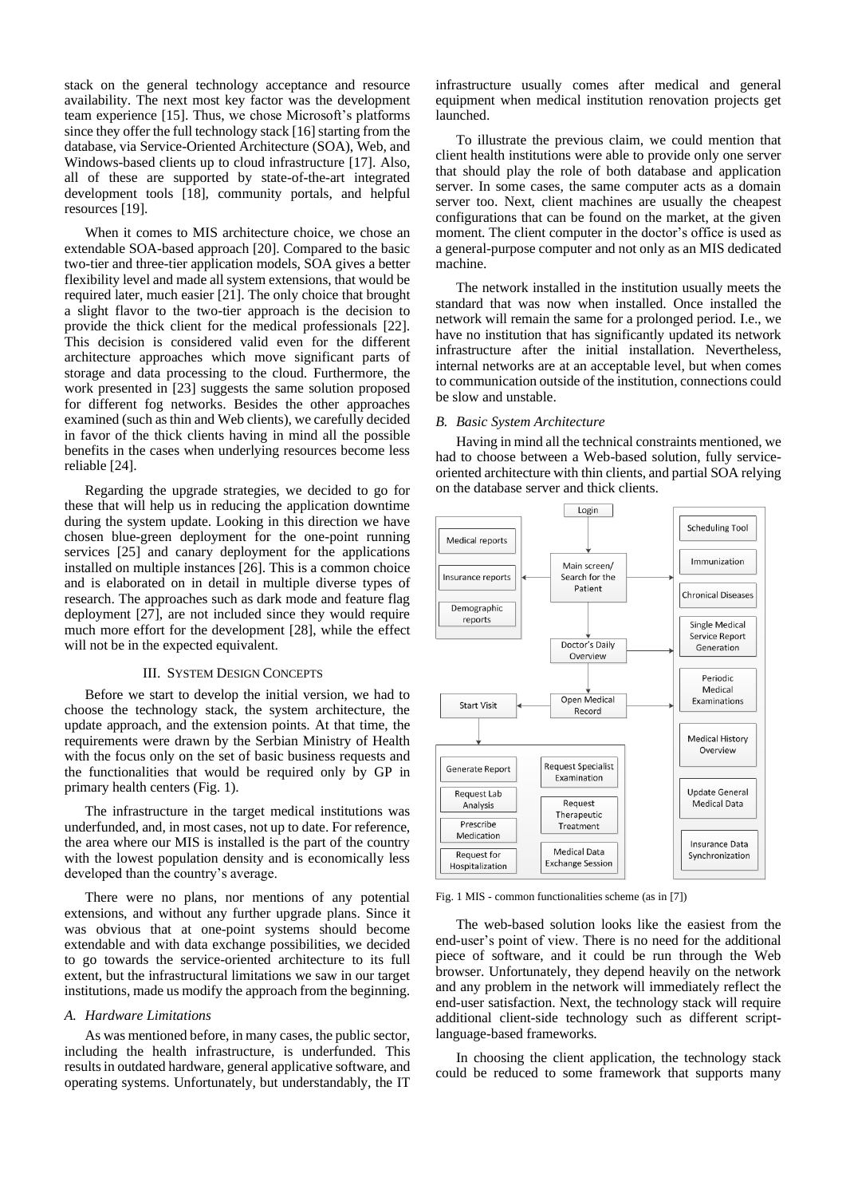stack on the general technology acceptance and resource availability. The next most key factor was the development team experience [\[15\].](#page-7-10) Thus, we chose Microsoft's platforms since they offer the full technology stack [\[16\]](#page-7-11) starting from the database, via Service-Oriented Architecture (SOA), Web, and Windows-based clients up to cloud infrastructure [\[17\].](#page-7-12) Also, all of these are supported by state-of-the-art integrated development tools [\[18\],](#page-7-13) community portals, and helpful resources [\[19\].](#page-7-14)

When it comes to MIS architecture choice, we chose an extendable SOA-based approach [\[20\].](#page-7-15) Compared to the basic two-tier and three-tier application models, SOA gives a better flexibility level and made all system extensions, that would be required later, much easier [\[21\].](#page-7-16) The only choice that brought a slight flavor to the two-tier approach is the decision to provide the thick client for the medical professionals [\[22\].](#page-7-17) This decision is considered valid even for the different architecture approaches which move significant parts of storage and data processing to the cloud. Furthermore, the work presented in [\[23\]](#page-7-18) suggests the same solution proposed for different fog networks. Besides the other approaches examined (such asthin and Web clients), we carefully decided in favor of the thick clients having in mind all the possible benefits in the cases when underlying resources become less reliable [\[24\].](#page-7-19)

Regarding the upgrade strategies, we decided to go for these that will help us in reducing the application downtime during the system update. Looking in this direction we have chosen blue-green deployment for the one-point running services [\[25\]](#page-7-20) and canary deployment for the applications installed on multiple instances [\[26\].](#page-7-21) This is a common choice and is elaborated on in detail in multiple diverse types of research. The approaches such as dark mode and feature flag deployment [\[27\],](#page-7-22) are not included since they would require much more effort for the development [\[28\],](#page-7-23) while the effect will not be in the expected equivalent.

#### III. SYSTEM DESIGN CONCEPTS

Before we start to develop the initial version, we had to choose the technology stack, the system architecture, the update approach, and the extension points. At that time, the requirements were drawn by the Serbian Ministry of Health with the focus only on the set of basic business requests and the functionalities that would be required only by GP in primary health centers [\(Fig. 1\)](#page-1-0).

The infrastructure in the target medical institutions was underfunded, and, in most cases, not up to date. For reference, the area where our MIS is installed is the part of the country with the lowest population density and is economically less developed than the country's average.

There were no plans, nor mentions of any potential extensions, and without any further upgrade plans. Since it was obvious that at one-point systems should become extendable and with data exchange possibilities, we decided to go towards the service-oriented architecture to its full extent, but the infrastructural limitations we saw in our target institutions, made us modify the approach from the beginning.

#### *A. Hardware Limitations*

As was mentioned before, in many cases, the public sector, including the health infrastructure, is underfunded. This results in outdated hardware, general applicative software, and operating systems. Unfortunately, but understandably, the IT

infrastructure usually comes after medical and general equipment when medical institution renovation projects get launched.

To illustrate the previous claim, we could mention that client health institutions were able to provide only one server that should play the role of both database and application server. In some cases, the same computer acts as a domain server too. Next, client machines are usually the cheapest configurations that can be found on the market, at the given moment. The client computer in the doctor's office is used as a general-purpose computer and not only as an MIS dedicated machine.

The network installed in the institution usually meets the standard that was now when installed. Once installed the network will remain the same for a prolonged period. I.e., we have no institution that has significantly updated its network infrastructure after the initial installation. Nevertheless, internal networks are at an acceptable level, but when comes to communication outside of the institution, connections could be slow and unstable.

#### *B. Basic System Architecture*

Having in mind all the technical constraints mentioned, we had to choose between a Web-based solution, fully serviceoriented architecture with thin clients, and partial SOA relying on the database server and thick clients.



<span id="page-1-0"></span>

The web-based solution looks like the easiest from the end-user's point of view. There is no need for the additional piece of software, and it could be run through the Web browser. Unfortunately, they depend heavily on the network and any problem in the network will immediately reflect the end-user satisfaction. Next, the technology stack will require additional client-side technology such as different scriptlanguage-based frameworks.

In choosing the client application, the technology stack could be reduced to some framework that supports many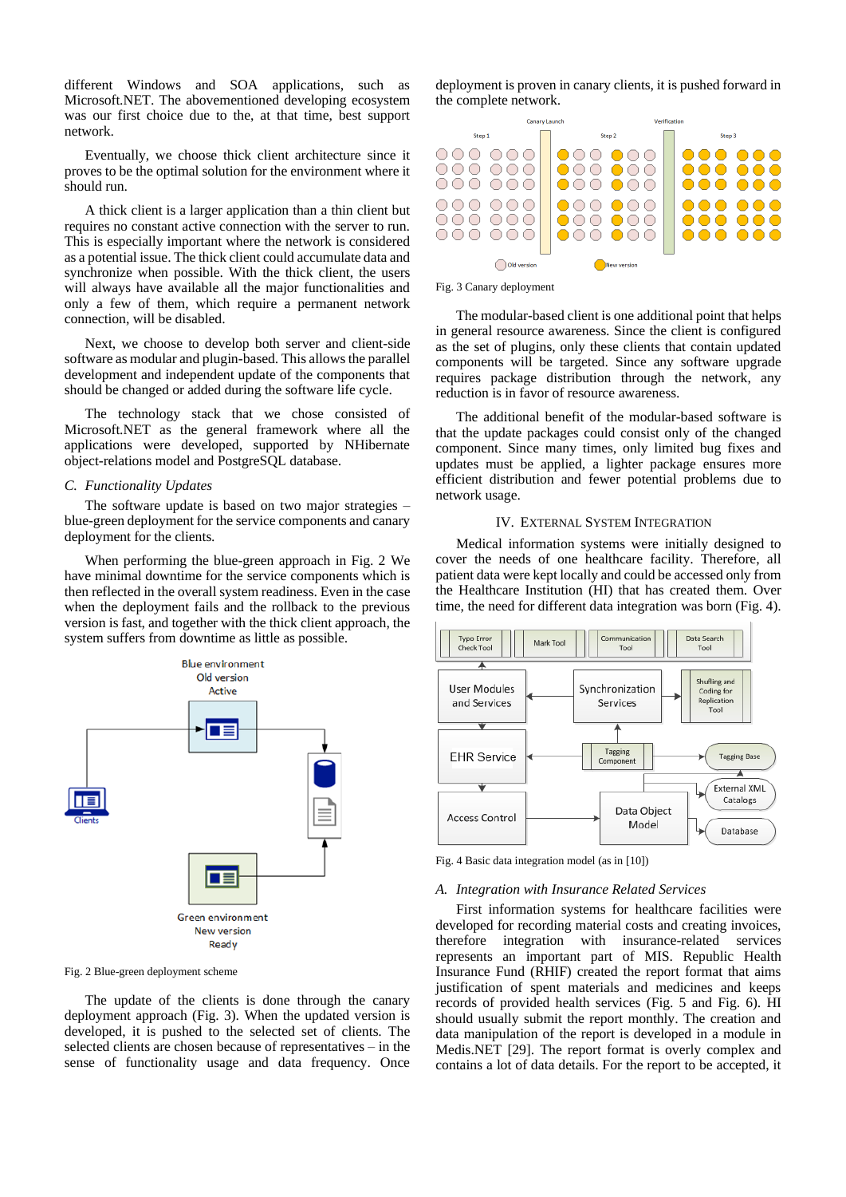different Windows and SOA applications, such as Microsoft.NET. The abovementioned developing ecosystem was our first choice due to the, at that time, best support network.

Eventually, we choose thick client architecture since it proves to be the optimal solution for the environment where it should run.

A thick client is a larger application than a thin client but requires no constant active connection with the server to run. This is especially important where the network is considered as a potential issue. The thick client could accumulate data and synchronize when possible. With the thick client, the users will always have available all the major functionalities and only a few of them, which require a permanent network connection, will be disabled.

Next, we choose to develop both server and client-side software as modular and plugin-based. This allows the parallel development and independent update of the components that should be changed or added during the software life cycle.

The technology stack that we chose consisted of Microsoft.NET as the general framework where all the applications were developed, supported by NHibernate object-relations model and PostgreSQL database.

#### *C. Functionality Updates*

The software update is based on two major strategies – blue-green deployment for the service components and canary deployment for the clients.

When performing the blue-green approach in [Fig. 2](#page-2-0) We have minimal downtime for the service components which is then reflected in the overall system readiness. Even in the case when the deployment fails and the rollback to the previous version is fast, and together with the thick client approach, the system suffers from downtime as little as possible.



<span id="page-2-0"></span>Fig. 2 Blue-green deployment scheme

The update of the clients is done through the canary deployment approach [\(Fig. 3\)](#page-2-1). When the updated version is developed, it is pushed to the selected set of clients. The selected clients are chosen because of representatives – in the sense of functionality usage and data frequency. Once

deployment is proven in canary clients, it is pushed forward in the complete network.



<span id="page-2-1"></span>Fig. 3 Canary deployment

The modular-based client is one additional point that helps in general resource awareness. Since the client is configured as the set of plugins, only these clients that contain updated components will be targeted. Since any software upgrade requires package distribution through the network, any reduction is in favor of resource awareness.

The additional benefit of the modular-based software is that the update packages could consist only of the changed component. Since many times, only limited bug fixes and updates must be applied, a lighter package ensures more efficient distribution and fewer potential problems due to network usage.

# IV. EXTERNAL SYSTEM INTEGRATION

Medical information systems were initially designed to cover the needs of one healthcare facility. Therefore, all patient data were kept locally and could be accessed only from the Healthcare Institution (HI) that has created them. Over time, the need for different data integration was born [\(Fig. 4\)](#page-2-2).



<span id="page-2-2"></span>Fig. 4 Basic data integration model (as i[n \[10\]\)](#page-7-24)

#### *A. Integration with Insurance Related Services*

First information systems for healthcare facilities were developed for recording material costs and creating invoices, therefore integration with insurance-related services represents an important part of MIS. Republic Health Insurance Fund (RHIF) created the report format that aims justification of spent materials and medicines and keeps records of provided health services [\(Fig. 5](#page-3-0) and [Fig. 6\)](#page-3-1). HI should usually submit the report monthly. The creation and data manipulation of the report is developed in a module in Medis.NET [\[29\].](#page-7-25) The report format is overly complex and contains a lot of data details. For the report to be accepted, it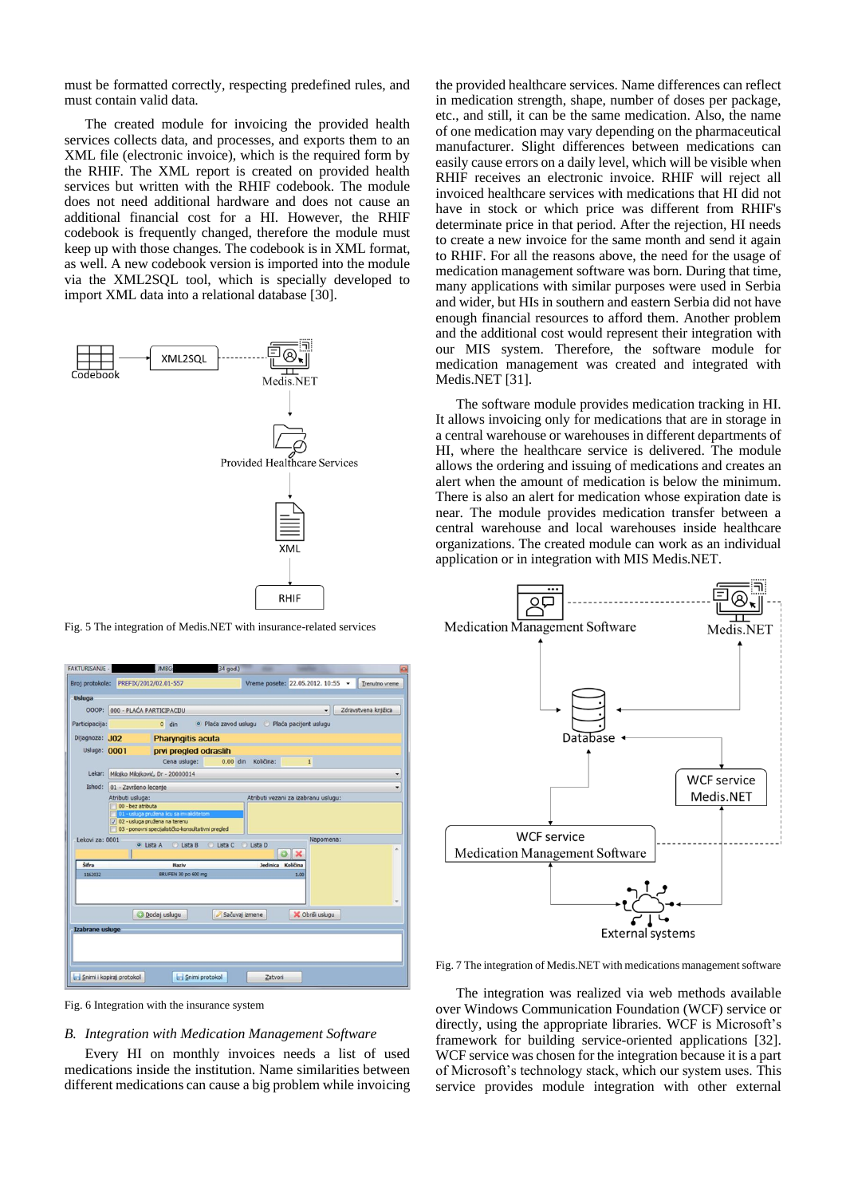must be formatted correctly, respecting predefined rules, and must contain valid data.

The created module for invoicing the provided health services collects data, and processes, and exports them to an XML file (electronic invoice), which is the required form by the RHIF. The XML report is created on provided health services but written with the RHIF codebook. The module does not need additional hardware and does not cause an additional financial cost for a HI. However, the RHIF codebook is frequently changed, therefore the module must keep up with those changes. The codebook is in XML format, as well. A new codebook version is imported into the module via the XML2SQL tool, which is specially developed to import XML data into a relational databas[e \[30\].](#page-7-26)



<span id="page-3-0"></span>Fig. 5 The integration of Medis.NET with insurance-related services

|                 |                                                                                       | Broj protokola: PREFIX/2012/02.01-557 |            | Vreme posete: 22.05.2012. 10:55 -            |                 |           | Trenutno vreme       |
|-----------------|---------------------------------------------------------------------------------------|---------------------------------------|------------|----------------------------------------------|-----------------|-----------|----------------------|
|                 |                                                                                       |                                       |            |                                              |                 |           |                      |
| <b>Usluga</b>   |                                                                                       |                                       |            |                                              |                 |           |                      |
|                 | OOOP: 000 - PLAĆA PARTICIPACIJU                                                       |                                       |            |                                              |                 |           | Zdravstvena knjižica |
| Participacija:  |                                                                                       | $0$ din                               |            | · Plaća zavod uslugu · Plaća pacijent uslugu |                 |           |                      |
| Dijagnoza: JO2  |                                                                                       | <b>Pharyngitis acuta</b>              |            |                                              |                 |           |                      |
| Usluga: 0001    | prvi pregled odraslih                                                                 |                                       |            |                                              |                 |           |                      |
|                 |                                                                                       | Cena usluge:                          | $0.00$ din | Količina:                                    | $\mathbf{1}$    |           |                      |
| Lekar:          | Milojko Milojković, Dr - 20000014<br>۰<br>01 - Završeno lecenie                       |                                       |            |                                              |                 |           |                      |
| Ishod:          |                                                                                       |                                       |            |                                              |                 |           |                      |
|                 | Atributi vezani za izabranu uslugu:<br>Atributi usluga:                               |                                       |            |                                              |                 |           |                      |
|                 | 00 - bez atributa                                                                     |                                       |            |                                              |                 |           |                      |
|                 | 01 - usluga pružena licu sa invaliditetom                                             |                                       |            |                                              |                 |           |                      |
|                 | V 02 - usluga pružena na terenu<br>03 - ponovni specijalističko-konsultativni pregled |                                       |            |                                              |                 |           |                      |
|                 |                                                                                       |                                       |            |                                              |                 |           |                      |
|                 |                                                                                       |                                       |            |                                              |                 |           |                      |
| Lekovi za: 0001 |                                                                                       | Lista B<br>O Lista A<br>o             | C Lista C  | <b>C</b> Lista D                             |                 | Napomena: |                      |
|                 |                                                                                       |                                       |            |                                              |                 |           |                      |
| Šifra           |                                                                                       | Naziv                                 |            | Jedinica Količina                            |                 |           |                      |
| 1162032         |                                                                                       | BRUFEN 30 po 600 mg                   |            |                                              | 1.00            |           |                      |
|                 |                                                                                       |                                       |            |                                              |                 |           |                      |
|                 |                                                                                       |                                       |            |                                              |                 |           |                      |
|                 |                                                                                       |                                       |            |                                              |                 |           |                      |
|                 |                                                                                       | Dodaj uslugu                          |            | Sačuvaj izmene                               | X Obriši uslugu |           |                      |
|                 |                                                                                       |                                       |            |                                              |                 |           |                      |
|                 |                                                                                       |                                       |            |                                              |                 |           |                      |
|                 |                                                                                       |                                       |            |                                              |                 |           |                      |
| Izabrane usluge |                                                                                       |                                       |            |                                              |                 |           |                      |

<span id="page-3-1"></span>Fig. 6 Integration with the insurance system

# *B. Integration with Medication Management Software*

Every HI on monthly invoices needs a list of used medications inside the institution. Name similarities between different medications can cause a big problem while invoicing

the provided healthcare services. Name differences can reflect in medication strength, shape, number of doses per package, etc., and still, it can be the same medication. Also, the name of one medication may vary depending on the pharmaceutical manufacturer. Slight differences between medications can easily cause errors on a daily level, which will be visible when RHIF receives an electronic invoice. RHIF will reject all invoiced healthcare services with medications that HI did not have in stock or which price was different from RHIF's determinate price in that period. After the rejection, HI needs to create a new invoice for the same month and send it again to RHIF. For all the reasons above, the need for the usage of medication management software was born. During that time, many applications with similar purposes were used in Serbia and wider, but HIs in southern and eastern Serbia did not have enough financial resources to afford them. Another problem and the additional cost would represent their integration with our MIS system. Therefore, the software module for medication management was created and integrated with Medis.NE[T \[31\].](#page-7-27)

The software module provides medication tracking in HI. It allows invoicing only for medications that are in storage in a central warehouse or warehouses in different departments of HI, where the healthcare service is delivered. The module allows the ordering and issuing of medications and creates an alert when the amount of medication is below the minimum. There is also an alert for medication whose expiration date is near. The module provides medication transfer between a central warehouse and local warehouses inside healthcare organizations. The created module can work as an individual application or in integration with MIS Medis.NET.



<span id="page-3-2"></span>Fig. 7 The integration of Medis.NET with medications management software

The integration was realized via web methods available over Windows Communication Foundation (WCF) service or directly, using the appropriate libraries. WCF is Microsoft's framework for building service-oriented applications [\[32\].](#page-7-28) WCF service was chosen for the integration because it is a part of Microsoft's technology stack, which our system uses. This service provides module integration with other external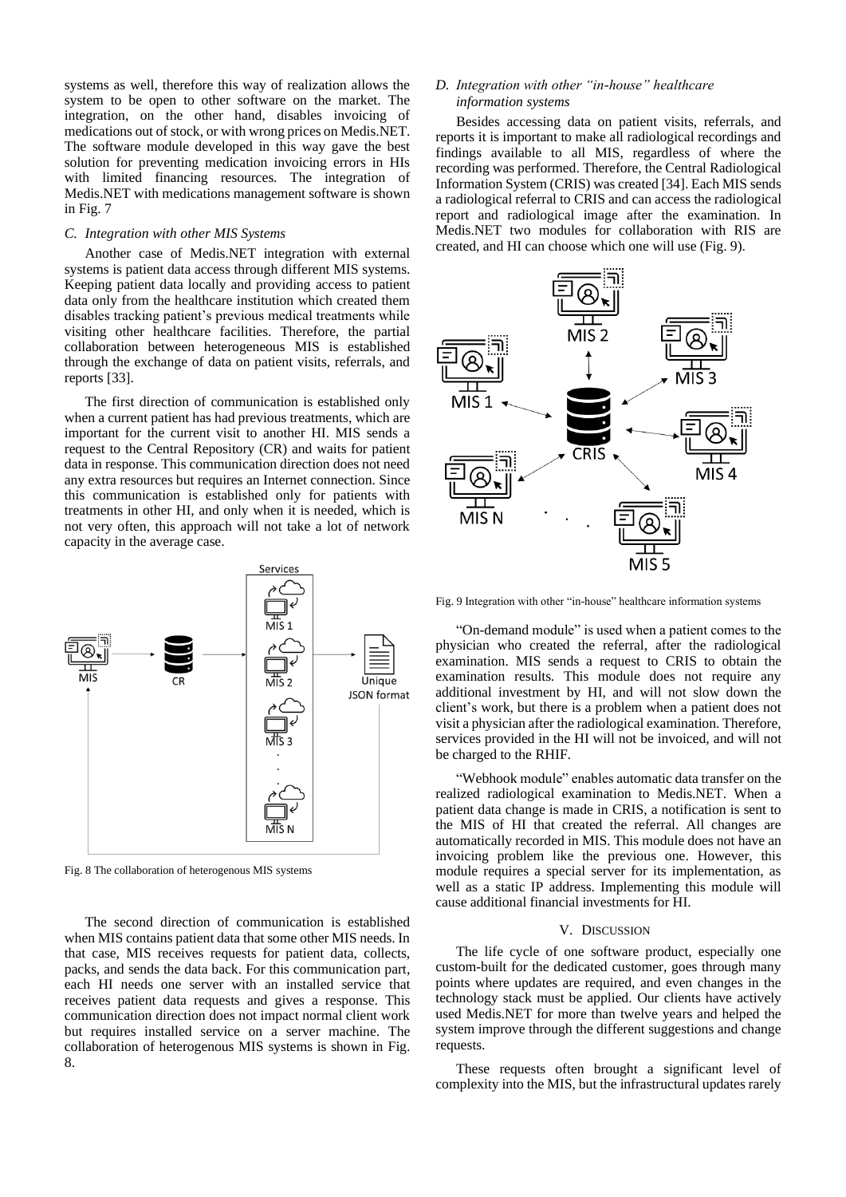systems as well, therefore this way of realization allows the system to be open to other software on the market. The integration, on the other hand, disables invoicing of medications out of stock, or with wrong prices on Medis.NET. The software module developed in this way gave the best solution for preventing medication invoicing errors in HIs with limited financing resources. The integration of Medis.NET with medications management software is shown in [Fig. 7](#page-3-2)

#### *C. Integration with other MIS Systems*

Another case of Medis.NET integration with external systems is patient data access through different MIS systems. Keeping patient data locally and providing access to patient data only from the healthcare institution which created them disables tracking patient's previous medical treatments while visiting other healthcare facilities. Therefore, the partial collaboration between heterogeneous MIS is established through the exchange of data on patient visits, referrals, and reports [\[33\].](#page-7-29)

The first direction of communication is established only when a current patient has had previous treatments, which are important for the current visit to another HI. MIS sends a request to the Central Repository (CR) and waits for patient data in response. This communication direction does not need any extra resources but requires an Internet connection. Since this communication is established only for patients with treatments in other HI, and only when it is needed, which is not very often, this approach will not take a lot of network capacity in the average case.



<span id="page-4-0"></span>Fig. 8 The collaboration of heterogenous MIS systems

The second direction of communication is established when MIS contains patient data that some other MIS needs. In that case, MIS receives requests for patient data, collects, packs, and sends the data back. For this communication part, each HI needs one server with an installed service that receives patient data requests and gives a response. This communication direction does not impact normal client work but requires installed service on a server machine. The collaboration of heterogenous MIS systems is shown in [Fig.](#page-4-0)  [8.](#page-4-0)

# *D. Integration with other "in-house" healthcare information systems*

Besides accessing data on patient visits, referrals, and reports it is important to make all radiological recordings and findings available to all MIS, regardless of where the recording was performed. Therefore, the Central Radiological Information System (CRIS) was created [\[34\].](#page-7-30) Each MIS sends a radiological referral to CRIS and can access the radiological report and radiological image after the examination. In Medis.NET two modules for collaboration with RIS are created, and HI can choose which one will use [\(Fig. 9\)](#page-4-1).



<span id="page-4-1"></span>Fig. 9 Integration with other "in-house" healthcare information systems

"On-demand module" is used when a patient comes to the physician who created the referral, after the radiological examination. MIS sends a request to CRIS to obtain the examination results. This module does not require any additional investment by HI, and will not slow down the client's work, but there is a problem when a patient does not visit a physician after the radiological examination. Therefore, services provided in the HI will not be invoiced, and will not be charged to the RHIF.

"Webhook module" enables automatic data transfer on the realized radiological examination to Medis.NET. When a patient data change is made in CRIS, a notification is sent to the MIS of HI that created the referral. All changes are automatically recorded in MIS. This module does not have an invoicing problem like the previous one. However, this module requires a special server for its implementation, as well as a static IP address. Implementing this module will cause additional financial investments for HI.

#### V. DISCUSSION

The life cycle of one software product, especially one custom-built for the dedicated customer, goes through many points where updates are required, and even changes in the technology stack must be applied. Our clients have actively used Medis.NET for more than twelve years and helped the system improve through the different suggestions and change requests.

These requests often brought a significant level of complexity into the MIS, but the infrastructural updates rarely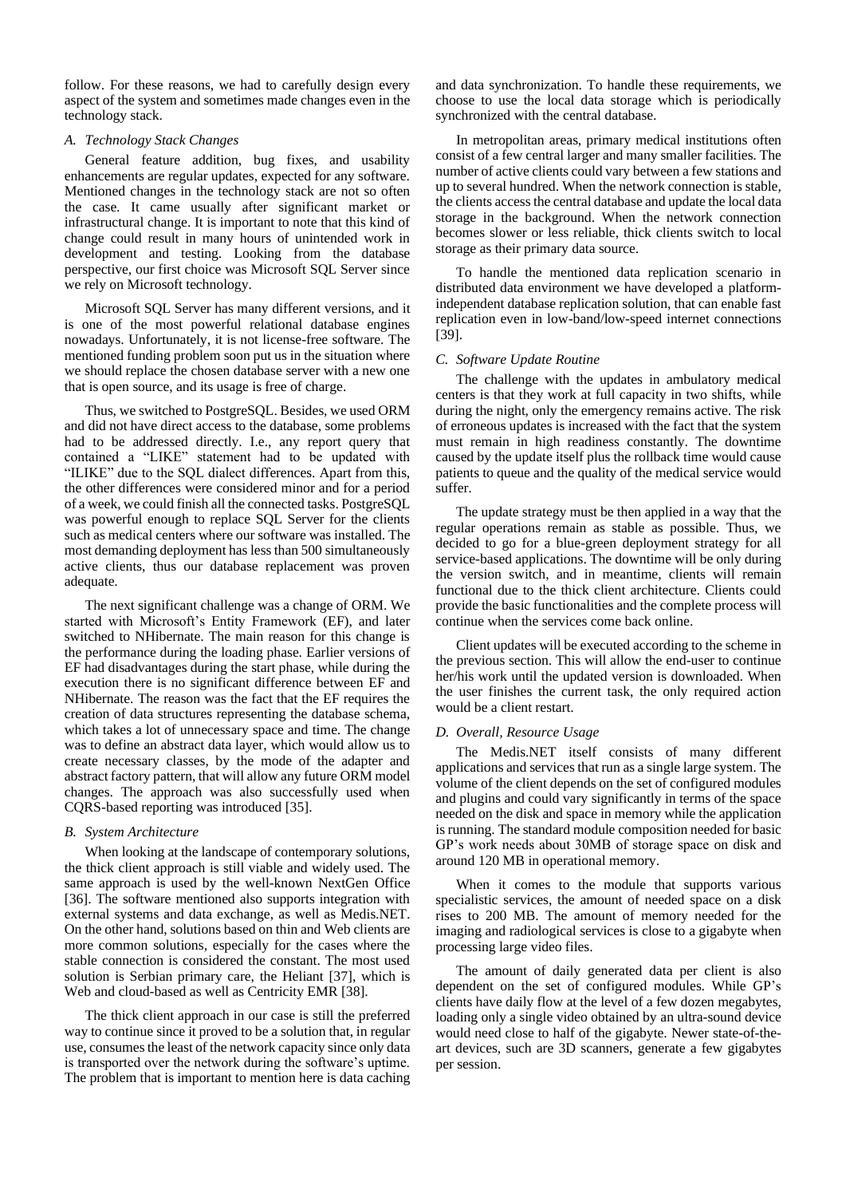follow. For these reasons, we had to carefully design every aspect of the system and sometimes made changes even in the technology stack.

# *A. Technology Stack Changes*

General feature addition, bug fixes, and usability enhancements are regular updates, expected for any software. Mentioned changes in the technology stack are not so often the case. It came usually after significant market or infrastructural change. It is important to note that this kind of change could result in many hours of unintended work in development and testing. Looking from the database perspective, our first choice was Microsoft SQL Server since we rely on Microsoft technology.

Microsoft SQL Server has many different versions, and it is one of the most powerful relational database engines nowadays. Unfortunately, it is not license-free software. The mentioned funding problem soon put us in the situation where we should replace the chosen database server with a new one that is open source, and its usage is free of charge.

Thus, we switched to PostgreSQL. Besides, we used ORM and did not have direct access to the database, some problems had to be addressed directly. I.e., any report query that contained a "LIKE" statement had to be updated with "ILIKE" due to the SQL dialect differences. Apart from this, the other differences were considered minor and for a period of a week, we could finish all the connected tasks. PostgreSQL was powerful enough to replace SQL Server for the clients such as medical centers where our software was installed. The most demanding deployment has less than 500 simultaneously active clients, thus our database replacement was proven adequate.

The next significant challenge was a change of ORM. We started with Microsoft's Entity Framework (EF), and later switched to NHibernate. The main reason for this change is the performance during the loading phase. Earlier versions of EF had disadvantages during the start phase, while during the execution there is no significant difference between EF and NHibernate. The reason was the fact that the EF requires the creation of data structures representing the database schema, which takes a lot of unnecessary space and time. The change was to define an abstract data layer, which would allow us to create necessary classes, by the mode of the adapter and abstract factory pattern, that will allow any future ORM model changes. The approach was also successfully used when CQRS-based reporting was introduce[d \[35\].](#page-7-31)

# *B. System Architecture*

When looking at the landscape of contemporary solutions, the thick client approach is still viable and widely used. The same approach is used by the well-known NextGen Office [\[36\].](#page-7-32) The software mentioned also supports integration with external systems and data exchange, as well as Medis.NET. On the other hand, solutions based on thin and Web clients are more common solutions, especially for the cases where the stable connection is considered the constant. The most used solution is Serbian primary care, the Heliant [\[37\],](#page-7-33) which is Web and cloud-based as well as Centricity EMR [\[38\].](#page-7-34)

The thick client approach in our case is still the preferred way to continue since it proved to be a solution that, in regular use, consumes the least of the network capacity since only data is transported over the network during the software's uptime. The problem that is important to mention here is data caching and data synchronization. To handle these requirements, we choose to use the local data storage which is periodically synchronized with the central database.

In metropolitan areas, primary medical institutions often consist of a few central larger and many smaller facilities. The number of active clients could vary between a few stations and up to several hundred. When the network connection is stable, the clients access the central database and update the local data storage in the background. When the network connection becomes slower or less reliable, thick clients switch to local storage as their primary data source.

To handle the mentioned data replication scenario in distributed data environment we have developed a platformindependent database replication solution, that can enable fast replication even in low-band/low-speed internet connections [\[39\].](#page-7-35)

# *C. Software Update Routine*

The challenge with the updates in ambulatory medical centers is that they work at full capacity in two shifts, while during the night, only the emergency remains active. The risk of erroneous updates is increased with the fact that the system must remain in high readiness constantly. The downtime caused by the update itself plus the rollback time would cause patients to queue and the quality of the medical service would suffer.

The update strategy must be then applied in a way that the regular operations remain as stable as possible. Thus, we decided to go for a blue-green deployment strategy for all service-based applications. The downtime will be only during the version switch, and in meantime, clients will remain functional due to the thick client architecture. Clients could provide the basic functionalities and the complete process will continue when the services come back online.

Client updates will be executed according to the scheme in the previous section. This will allow the end-user to continue her/his work until the updated version is downloaded. When the user finishes the current task, the only required action would be a client restart.

# *D. Overall, Resource Usage*

The Medis.NET itself consists of many different applications and services that run as a single large system. The volume of the client depends on the set of configured modules and plugins and could vary significantly in terms of the space needed on the disk and space in memory while the application is running. The standard module composition needed for basic GP's work needs about 30MB of storage space on disk and around 120 MB in operational memory.

When it comes to the module that supports various specialistic services, the amount of needed space on a disk rises to 200 MB. The amount of memory needed for the imaging and radiological services is close to a gigabyte when processing large video files.

The amount of daily generated data per client is also dependent on the set of configured modules. While GP's clients have daily flow at the level of a few dozen megabytes, loading only a single video obtained by an ultra-sound device would need close to half of the gigabyte. Newer state-of-theart devices, such are 3D scanners, generate a few gigabytes per session.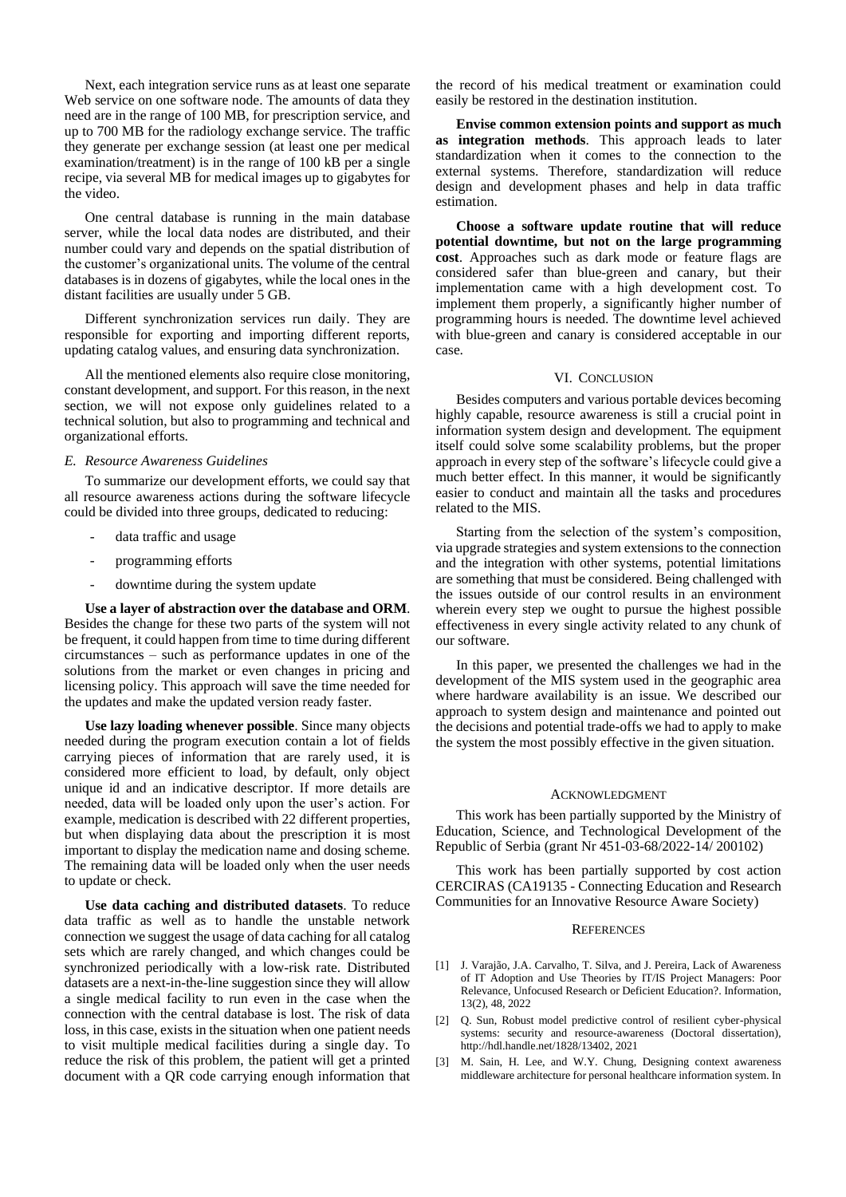Next, each integration service runs as at least one separate Web service on one software node. The amounts of data they need are in the range of 100 MB, for prescription service, and up to 700 MB for the radiology exchange service. The traffic they generate per exchange session (at least one per medical examination/treatment) is in the range of 100 kB per a single recipe, via several MB for medical images up to gigabytes for the video.

One central database is running in the main database server, while the local data nodes are distributed, and their number could vary and depends on the spatial distribution of the customer's organizational units. The volume of the central databases is in dozens of gigabytes, while the local ones in the distant facilities are usually under 5 GB.

Different synchronization services run daily. They are responsible for exporting and importing different reports, updating catalog values, and ensuring data synchronization.

All the mentioned elements also require close monitoring, constant development, and support. For this reason, in the next section, we will not expose only guidelines related to a technical solution, but also to programming and technical and organizational efforts.

## *E. Resource Awareness Guidelines*

To summarize our development efforts, we could say that all resource awareness actions during the software lifecycle could be divided into three groups, dedicated to reducing:

- data traffic and usage
- programming efforts
- downtime during the system update

**Use a layer of abstraction over the database and ORM**. Besides the change for these two parts of the system will not be frequent, it could happen from time to time during different circumstances – such as performance updates in one of the solutions from the market or even changes in pricing and licensing policy. This approach will save the time needed for the updates and make the updated version ready faster.

**Use lazy loading whenever possible**. Since many objects needed during the program execution contain a lot of fields carrying pieces of information that are rarely used, it is considered more efficient to load, by default, only object unique id and an indicative descriptor. If more details are needed, data will be loaded only upon the user's action. For example, medication is described with 22 different properties, but when displaying data about the prescription it is most important to display the medication name and dosing scheme. The remaining data will be loaded only when the user needs to update or check.

**Use data caching and distributed datasets**. To reduce data traffic as well as to handle the unstable network connection we suggest the usage of data caching for all catalog sets which are rarely changed, and which changes could be synchronized periodically with a low-risk rate. Distributed datasets are a next-in-the-line suggestion since they will allow a single medical facility to run even in the case when the connection with the central database is lost. The risk of data loss, in this case, exists in the situation when one patient needs to visit multiple medical facilities during a single day. To reduce the risk of this problem, the patient will get a printed document with a QR code carrying enough information that

the record of his medical treatment or examination could easily be restored in the destination institution.

**Envise common extension points and support as much as integration methods**. This approach leads to later standardization when it comes to the connection to the external systems. Therefore, standardization will reduce design and development phases and help in data traffic estimation.

**Choose a software update routine that will reduce potential downtime, but not on the large programming cost**. Approaches such as dark mode or feature flags are considered safer than blue-green and canary, but their implementation came with a high development cost. To implement them properly, a significantly higher number of programming hours is needed. The downtime level achieved with blue-green and canary is considered acceptable in our case.

#### VI. CONCLUSION

Besides computers and various portable devices becoming highly capable, resource awareness is still a crucial point in information system design and development. The equipment itself could solve some scalability problems, but the proper approach in every step of the software's lifecycle could give a much better effect. In this manner, it would be significantly easier to conduct and maintain all the tasks and procedures related to the MIS.

Starting from the selection of the system's composition, via upgrade strategies and system extensions to the connection and the integration with other systems, potential limitations are something that must be considered. Being challenged with the issues outside of our control results in an environment wherein every step we ought to pursue the highest possible effectiveness in every single activity related to any chunk of our software.

In this paper, we presented the challenges we had in the development of the MIS system used in the geographic area where hardware availability is an issue. We described our approach to system design and maintenance and pointed out the decisions and potential trade-offs we had to apply to make the system the most possibly effective in the given situation.

### ACKNOWLEDGMENT

This work has been partially supported by the Ministry of Education, Science, and Technological Development of the Republic of Serbia (grant Nr 451-03-68/2022-14/ 200102)

This work has been partially supported by cost action CERCIRAS (CA19135 - Connecting Education and Research Communities for an Innovative Resource Aware Society)

### **REFERENCES**

- <span id="page-6-0"></span>[1] J. Varajão, J.A. Carvalho, T. Silva, and J. Pereira, Lack of Awareness of IT Adoption and Use Theories by IT/IS Project Managers: Poor Relevance, Unfocused Research or Deficient Education?. Information, 13(2), 48, 2022
- <span id="page-6-1"></span>[2] Q. Sun, Robust model predictive control of resilient cyber-physical systems: security and resource-awareness (Doctoral dissertation), http://hdl.handle.net/1828/13402, 2021
- <span id="page-6-2"></span>[3] M. Sain, H. Lee, and W.Y. Chung, Designing context awareness middleware architecture for personal healthcare information system. In